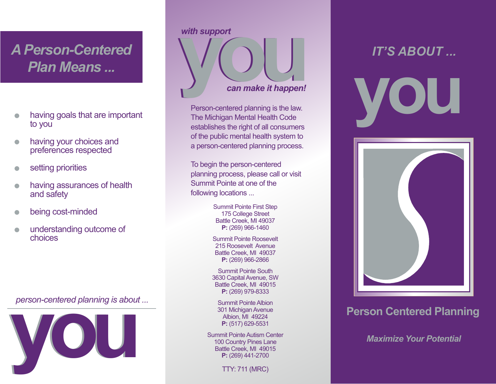## *A Person-Centered Plan Means ...*

- having goals that are important  $\bullet$ to you
- having your choices and  $\bullet$ preferences respected
- setting priorities  $\bullet$
- having assurances of health and safety
- being cost-minded
- understanding outcome of choices

*person-centered planning is about ...*



## *with support*



Person-centered planning is the law. The Michigan Mental Health Code establishes the right of all consumers of the public mental health system to a person-centered planning process.

To begin the person-centered planning process, please call or visit Summit Pointe at one of the following locations ...

> Summit Pointe First Step 175 College Street Battle Creek, MI 49037 **P:** (269) 966-1460

Summit Pointe Roosevelt 215 Roosevelt Avenue Battle Creek, MI 49037 **P:** (269) 966-2866

Summit Pointe South 3630 Capital Avenue, SW Battle Creek, MI 49015 **P:** (269) 979-8333

Summit Pointe Albion 301 Michigan Avenue Albion, MI 49224 **P:** (517) 629-5531

Summit Pointe Autism Center 100 Country Pines Lane Battle Creek, MI 49015 **P:** (269) 441-2700

TTY: 711 (MRC)





## **Person Centered Planning**

*Maximize Your Potential*